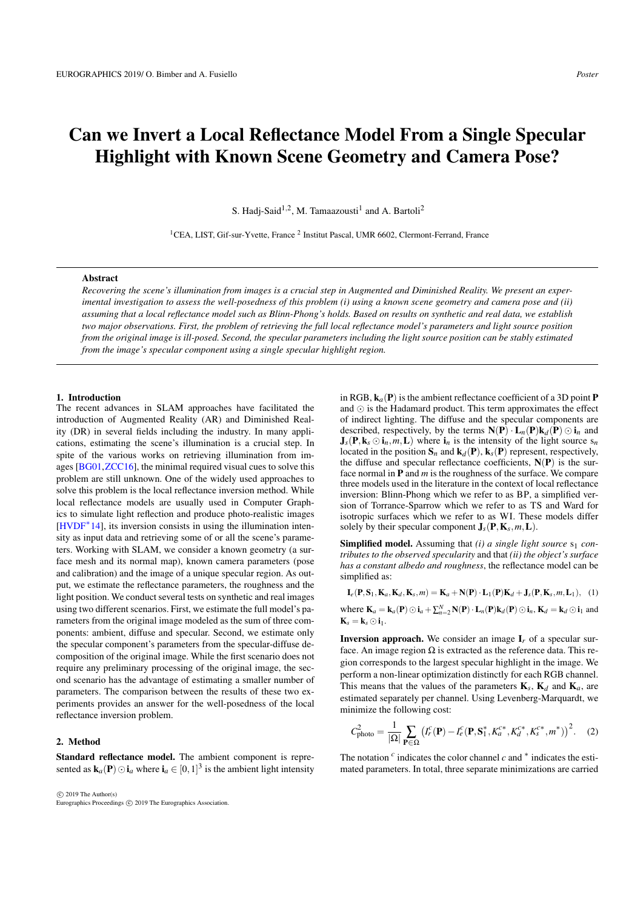# <span id="page-0-1"></span>Can we Invert a Local Reflectance Model From a Single Specular Highlight with Known Scene Geometry and Camera Pose?

S. Hadj-Said<sup>1,2</sup>, M. Tamaazousti<sup>1</sup> and A. Bartoli<sup>2</sup>

<sup>1</sup>CEA, LIST, Gif-sur-Yvette, France<sup>2</sup> Institut Pascal, UMR 6602, Clermont-Ferrand, France

## Abstract

*Recovering the scene's illumination from images is a crucial step in Augmented and Diminished Reality. We present an experimental investigation to assess the well-posedness of this problem (i) using a known scene geometry and camera pose and (ii) assuming that a local reflectance model such as Blinn-Phong's holds. Based on results on synthetic and real data, we establish two major observations. First, the problem of retrieving the full local reflectance model's parameters and light source position from the original image is ill-posed. Second, the specular parameters including the light source position can be stably estimated from the image's specular component using a single specular highlight region.*

#### 1. Introduction

The recent advances in SLAM approaches have facilitated the introduction of Augmented Reality (AR) and Diminished Reality (DR) in several fields including the industry. In many applications, estimating the scene's illumination is a crucial step. In spite of the various works on retrieving illumination from images [\[BG01,](#page-1-0)[ZCC16\]](#page-1-1), the minimal required visual cues to solve this problem are still unknown. One of the widely used approaches to solve this problem is the local reflectance inversion method. While local reflectance models are usually used in Computer Graphics to simulate light reflection and produce photo-realistic images [\[HVDF](#page-1-2)<sup>∗</sup> 14], its inversion consists in using the illumination intensity as input data and retrieving some of or all the scene's parameters. Working with SLAM, we consider a known geometry (a surface mesh and its normal map), known camera parameters (pose and calibration) and the image of a unique specular region. As output, we estimate the reflectance parameters, the roughness and the light position. We conduct several tests on synthetic and real images using two different scenarios. First, we estimate the full model's parameters from the original image modeled as the sum of three components: ambient, diffuse and specular. Second, we estimate only the specular component's parameters from the specular-diffuse decomposition of the original image. While the first scenario does not require any preliminary processing of the original image, the second scenario has the advantage of estimating a smaller number of parameters. The comparison between the results of these two experiments provides an answer for the well-posedness of the local reflectance inversion problem.

### 2. Method

Standard reflectance model. The ambient component is represented as  $\mathbf{k}_a(\mathbf{P}) \odot \mathbf{i}_a$  where  $\mathbf{i}_a \in [0,1]^3$  is the ambient light intensity

 c 2019 The Author(s) Eurographics Proceedings (C) 2019 The Eurographics Association in RGB,  $\mathbf{k}_a(\mathbf{P})$  is the ambient reflectance coefficient of a 3D point **P** and  $\odot$  is the Hadamard product. This term approximates the effect of indirect lighting. The diffuse and the specular components are described, respectively, by the terms  $N(P) \cdot L_n(P)k_d(P) \odot i_n$  and  $J_s(P, k_s \odot i_n, m, L)$  where  $i_n$  is the intensity of the light source  $s_n$ located in the position  $S_n$  and  $k_d(P)$ ,  $k_s(P)$  represent, respectively, the diffuse and specular reflectance coefficients,  $N(P)$  is the surface normal in P and *m* is the roughness of the surface. We compare three models used in the literature in the context of local reflectance inversion: Blinn-Phong which we refer to as BP, a simplified version of Torrance-Sparrow which we refer to as TS and Ward for isotropic surfaces which we refer to as WI. These models differ solely by their specular component  $J_s(P, K_s, m, L)$ .

Simplified model. Assuming that *(i) a single light source*  $s_1$  *contributes to the observed specularity* and that *(ii) the object's surface has a constant albedo and roughness*, the reflectance model can be simplified as:

<span id="page-0-0"></span> $I_e(P, S_1, K_a, K_d, K_s, m) = K_a + N(P) \cdot L_1(P)K_d + J_s(P, K_s, m, L_1),$  (1) where  $\mathbf{K}_a = \mathbf{k}_a(\mathbf{P}) \odot \mathbf{i}_a + \sum_{n=2}^{N} \mathbf{N}(\mathbf{P}) \cdot \mathbf{L}_n(\mathbf{P}) \mathbf{k}_d(\mathbf{P}) \odot \mathbf{i}_n$ ,  $\mathbf{K}_d = \mathbf{k}_d \odot \mathbf{i}_1$  and  $\mathbf{K}_s = \mathbf{k}_s \odot \mathbf{i}_1.$ 

**Inversion approach.** We consider an image  $I_r$  of a specular surface. An image region  $\Omega$  is extracted as the reference data. This region corresponds to the largest specular highlight in the image. We perform a non-linear optimization distinctly for each RGB channel. This means that the values of the parameters  $\mathbf{K}_s$ ,  $\mathbf{K}_d$  and  $\mathbf{K}_a$ , are estimated separately per channel. Using Levenberg-Marquardt, we minimize the following cost:

$$
C_{\rm photo}^2 = \frac{1}{|\Omega|} \sum_{\mathbf{P} \in \Omega} \left( I_r^c(\mathbf{P}) - I_e^c(\mathbf{P}, \mathbf{S}_1^*, K_a^{c*}, K_d^{c*}, K_s^{c*}, m^*) \right)^2.
$$
 (2)

The notation  $c$  indicates the color channel  $c$  and  $*$  indicates the estimated parameters. In total, three separate minimizations are carried